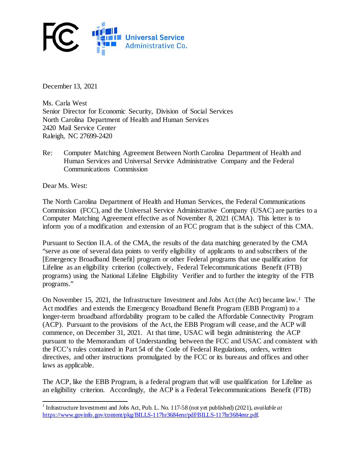

December 13, 2021

Ms. Carla West Senior Director for Economic Security, Division of Social Services North Carolina Department of Health and Human Services 2420 Mail Service Center Raleigh, NC 27699-2420

Re: Computer Matching Agreement Between North Carolina Department of Health and Human Services and Universal Service Administrative Company and the Federal Communications Commission

Dear Ms. West:

The North Carolina Department of Health and Human Services, the Federal Communications Commission (FCC), and the Universal Service Administrative Company (USAC) are parties to a Computer Matching Agreement effective as of November 8, 2021 (CMA). This letter is to inform you of a modification and extension of an FCC program that is the subject of this CMA.

Pursuant to Section II.A. of the CMA, the results of the data matching generated by the CMA "serve as one of several data points to verify eligibility of applicants to and subscribers of the [Emergency Broadband Benefit] program or other Federal programs that use qualification for Lifeline as an eligibility criterion (collectively, Federal Telecommunications Benefit (FTB) programs) using the National Lifeline Eligibility Verifier and to further the integrity of the FTB programs."

On November 15, 2021, the Infrastructure Investment and Jobs Act (the Act) became law. [1](#page-0-0) The Act modifies and extends the Emergency Broadband Benefit Program (EBB Program) to a longer-term broadband affordability program to be called the Affordable Connectivity Program (ACP). Pursuant to the provisions of the Act, the EBB Program will cease, and the ACP will commence, on December 31, 2021. At that time, USAC will begin administering the ACP pursuant to the Memorandum of Understanding between the FCC and USAC and consistent with the FCC's rules contained in Part 54 of the Code of Federal Regulations, orders, written directives, and other instructions promulgated by the FCC or its bureaus and offices and other laws as applicable.

The ACP, like the EBB Program, is a federal program that will use qualification for Lifeline as an eligibility criterion. Accordingly, the ACP is a Federal Telecommunications Benefit (FTB)

<span id="page-0-0"></span><sup>1</sup> Infrastructure Investment and Jobs Act, Pub. L. No. 117-58 (not yet published) (2021), *available at*  [https://www.](https://www./)govinfo.gov/content/pkg/BILLS-117hr3684enr/pdf/BILLS-117hr3684enr.pdf.